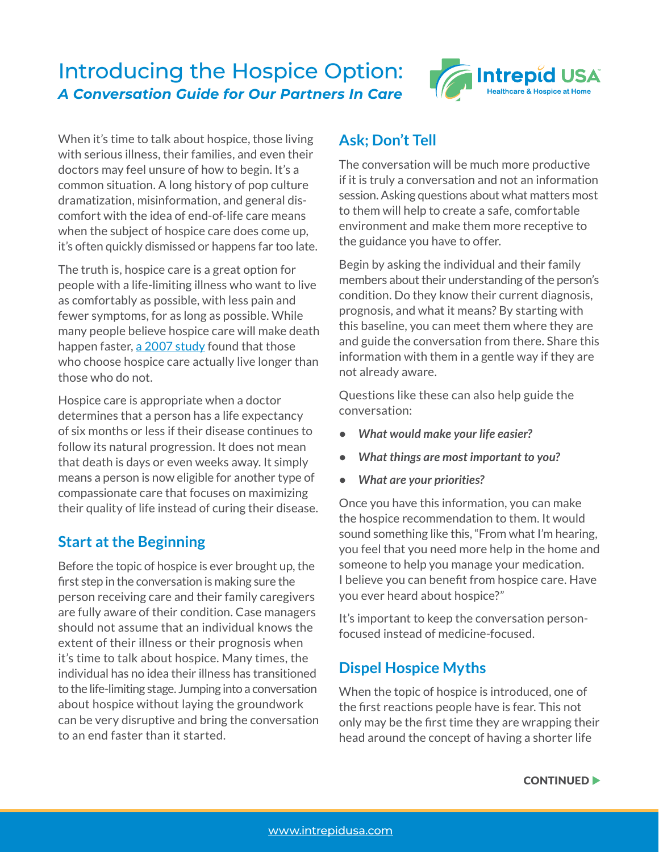# Introducing the Hospice Option: *A Conversation Guide for Our Partners In Care*



When it's time to talk about hospice, those living with serious illness, their families, and even their doctors may feel unsure of how to begin. It's a common situation. A long history of pop culture dramatization, misinformation, and general discomfort with the idea of end-of-life care means when the subject of hospice care does come up, it's often quickly dismissed or happens far too late.

The truth is, hospice care is a great option for people with a life-limiting illness who want to live as comfortably as possible, with less pain and fewer symptoms, for as long as possible. While many people believe hospice care will make death happen faster, [a 2007 study](https://www.jpsmjournal.com/article/S0885-3924(06)00724-X/fulltext) found that those who choose hospice care actually live longer than those who do not.

Hospice care is appropriate when a doctor determines that a person has a life expectancy of six months or less if their disease continues to follow its natural progression. It does not mean that death is days or even weeks away. It simply means a person is now eligible for another type of compassionate care that focuses on maximizing their quality of life instead of curing their disease.

### **Start at the Beginning**

Before the topic of hospice is ever brought up, the first step in the conversation is making sure the person receiving care and their family caregivers are fully aware of their condition. Case managers should not assume that an individual knows the extent of their illness or their prognosis when it's time to talk about hospice. Many times, the individual has no idea their illness has transitioned to the life-limiting stage. Jumping into a conversation about hospice without laying the groundwork can be very disruptive and bring the conversation to an end faster than it started.

### **Ask; Don't Tell**

The conversation will be much more productive if it is truly a conversation and not an information session. Asking questions about what matters most to them will help to create a safe, comfortable environment and make them more receptive to the guidance you have to offer.

Begin by asking the individual and their family members about their understanding of the person's condition. Do they know their current diagnosis, prognosis, and what it means? By starting with this baseline, you can meet them where they are and guide the conversation from there. Share this information with them in a gentle way if they are not already aware.

Questions like these can also help guide the conversation:

- *What would make your life easier?*
- *What things are most important to you?*
- *What are your priorities?*

Once you have this information, you can make the hospice recommendation to them. It would sound something like this, "From what I'm hearing, you feel that you need more help in the home and someone to help you manage your medication. I believe you can benefit from hospice care. Have you ever heard about hospice?"

It's important to keep the conversation personfocused instead of medicine-focused.

## **Dispel Hospice Myths**

When the topic of hospice is introduced, one of the first reactions people have is fear. This not only may be the first time they are wrapping their head around the concept of having a shorter life